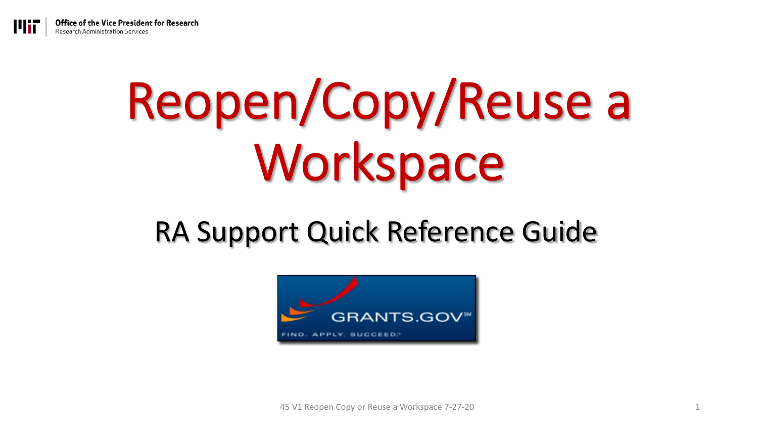## Reopen/Copy/Reuse a Workspace

#### RA Support Quick Reference Guide



45 V1 Reopen Copy or Reuse a Workspace 7-27-20 1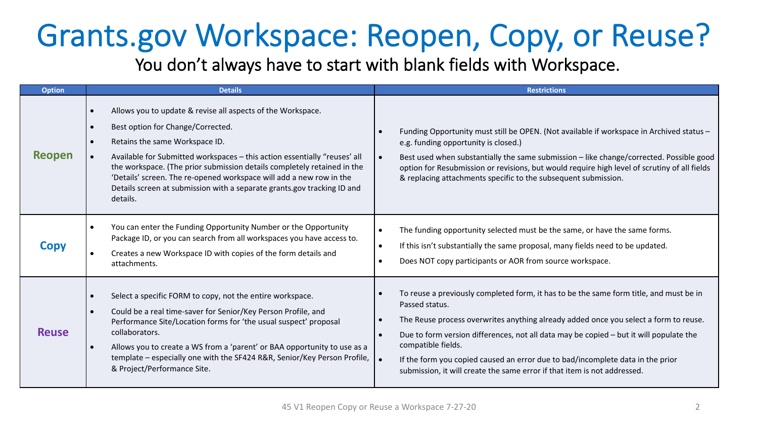### Grants.gov Workspace: Reopen, Copy, or Reuse?

You don't always have to start with blank fields with Workspace.

| <b>Option</b> | <b>Details</b>                                                                                                                                                                                                                                                                                                                                                                                                                                                                     | <b>Restrictions</b>                                                                                                                                                                                                                                                                                                                                                                                                                                                                                            |
|---------------|------------------------------------------------------------------------------------------------------------------------------------------------------------------------------------------------------------------------------------------------------------------------------------------------------------------------------------------------------------------------------------------------------------------------------------------------------------------------------------|----------------------------------------------------------------------------------------------------------------------------------------------------------------------------------------------------------------------------------------------------------------------------------------------------------------------------------------------------------------------------------------------------------------------------------------------------------------------------------------------------------------|
| Reopen        | Allows you to update & revise all aspects of the Workspace.<br>$\bullet$<br>Best option for Change/Corrected.<br>$\bullet$<br>Retains the same Workspace ID.<br>Available for Submitted workspaces - this action essentially "reuses' all<br>the workspace. (The prior submission details completely retained in the<br>'Details' screen. The re-opened workspace will add a new row in the<br>Details screen at submission with a separate grants.gov tracking ID and<br>details. | Funding Opportunity must still be OPEN. (Not available if workspace in Archived status -<br>$\bullet$<br>e.g. funding opportunity is closed.)<br>Best used when substantially the same submission - like change/corrected. Possible good<br>$\bullet$<br>option for Resubmission or revisions, but would require high level of scrutiny of all fields<br>& replacing attachments specific to the subsequent submission.                                                                                        |
| <b>Copy</b>   | You can enter the Funding Opportunity Number or the Opportunity<br>$\bullet$<br>Package ID, or you can search from all workspaces you have access to.<br>Creates a new Workspace ID with copies of the form details and<br>$\bullet$<br>attachments.                                                                                                                                                                                                                               | The funding opportunity selected must be the same, or have the same forms.<br>$\bullet$<br>If this isn't substantially the same proposal, many fields need to be updated.<br>$\bullet$<br>Does NOT copy participants or AOR from source workspace.<br>$\bullet$                                                                                                                                                                                                                                                |
| <b>Reuse</b>  | Select a specific FORM to copy, not the entire workspace.<br>$\bullet$<br>Could be a real time-saver for Senior/Key Person Profile, and<br>$\bullet$<br>Performance Site/Location forms for 'the usual suspect' proposal<br>collaborators.<br>Allows you to create a WS from a 'parent' or BAA opportunity to use as a<br>$\bullet$<br>template - especially one with the SF424 R&R, Senior/Key Person Profile,<br>& Project/Performance Site.                                     | To reuse a previously completed form, it has to be the same form title, and must be in<br>Passed status.<br>The Reuse process overwrites anything already added once you select a form to reuse.<br>$\bullet$<br>Due to form version differences, not all data may be copied – but it will populate the<br>$\bullet$<br>compatible fields.<br>∣∙<br>If the form you copied caused an error due to bad/incomplete data in the prior<br>submission, it will create the same error if that item is not addressed. |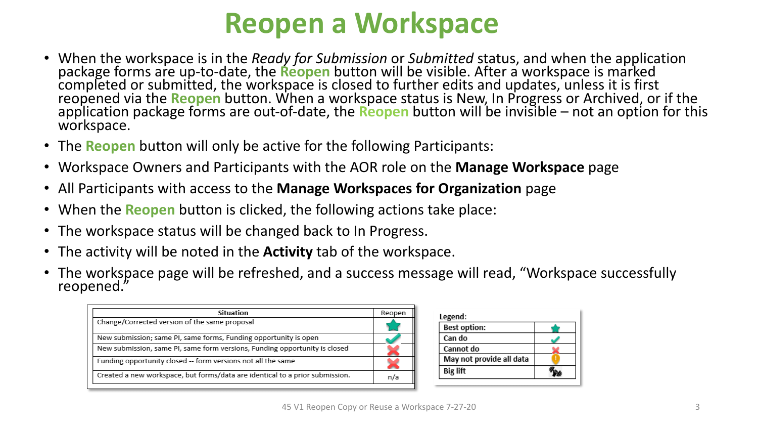#### **Reopen a Workspace**

- When the workspace is in the *Ready for Submission* or *Submitted* status, and when the application package forms are up-to-date, the **Reopen** button will be visible. After a workspace is marked completed or submitted, the workspace is closed to further edits and updates, unless it is first reopened via the **Reopen** button. When a workspace status is New, In Progress or Archived, or if the application package form
- The **Reopen** button will only be active for the following Participants:
- Workspace Owners and Participants with the AOR role on the **Manage Workspace** page
- All Participants with access to the **Manage Workspaces for Organization** page
- When the **Reopen** button is clicked, the following actions take place:
- The workspace status will be changed back to In Progress.
- The activity will be noted in the **Activity** tab of the workspace.
- The workspace page will be refreshed, and a success message will read, "Workspace successfully reopened."

| Situation                                                                    | Reopen |
|------------------------------------------------------------------------------|--------|
| Change/Corrected version of the same proposal                                |        |
| New submission; same PI, same forms, Funding opportunity is open             |        |
| New submission, same PI, same form versions, Funding opportunity is closed   |        |
| Funding opportunity closed -- form versions not all the same                 | ×      |
| Created a new workspace, but forms/data are identical to a prior submission. | n/a    |
|                                                                              |        |

| <b>Best option:</b>      |  |
|--------------------------|--|
| Can do                   |  |
| Cannot do                |  |
| May not provide all data |  |
| <b>Big lift</b>          |  |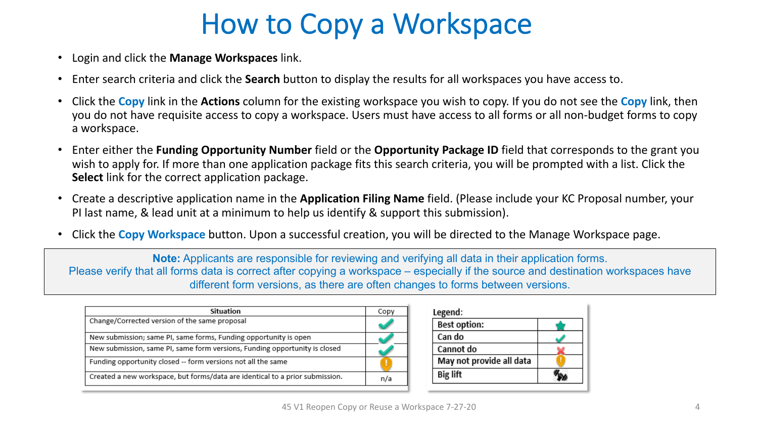#### How to Copy a Workspace

- Login and click the **Manage Workspaces** link.
- Enter search criteria and click the **Search** button to display the results for all workspaces you have access to.
- Click the **Copy** link in the **Actions** column for the existing workspace you wish to copy. If you do not see the **Copy** link, then you do not have requisite access to copy a workspace. Users must have access to all forms or all non-budget forms to copy a workspace.
- Enter either the **Funding Opportunity Number** field or the **Opportunity Package ID** field that corresponds to the grant you wish to apply for. If more than one application package fits this search criteria, you will be prompted with a list. Click the **Select** link for the correct application package.
- Create a descriptive application name in the **Application Filing Name** field. (Please include your KC Proposal number, your PI last name, & lead unit at a minimum to help us identify & support this submission).
- Click the **Copy Workspace** button. Upon a successful creation, you will be directed to the Manage Workspace page.

**Note:** Applicants are responsible for reviewing and verifying all data in their application forms. Please verify that all forms data is correct after copying a workspace – especially if the source and destination workspaces have different form versions, as there are often changes to forms between versions.

| Situation                                                                    | Copy |
|------------------------------------------------------------------------------|------|
| Change/Corrected version of the same proposal                                |      |
| New submission; same PI, same forms, Funding opportunity is open             |      |
| New submission, same PI, same form versions, Funding opportunity is closed   |      |
| Funding opportunity closed -- form versions not all the same                 |      |
| Created a new workspace, but forms/data are identical to a prior submission. | n/a  |

| <b>Best option:</b>      |  |
|--------------------------|--|
| Can do                   |  |
| Cannot do                |  |
| May not provide all data |  |
| <b>Big lift</b>          |  |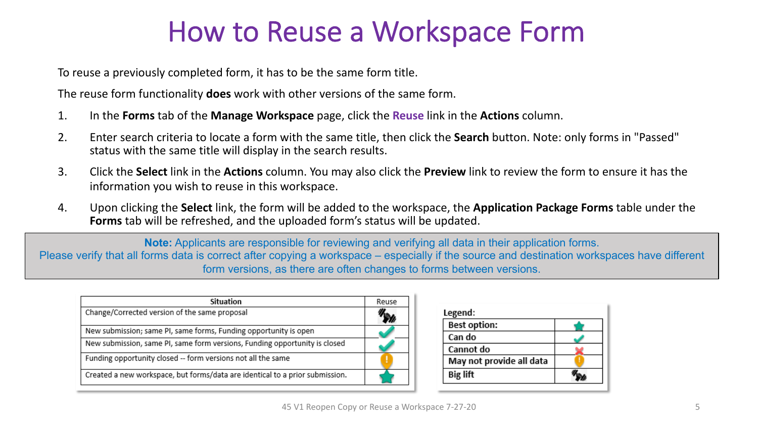#### How to Reuse a Workspace Form

To reuse a previously completed form, it has to be the same form title.

The reuse form functionality **does** work with other versions of the same form.

- 1. In the **Forms** tab of the **Manage Workspace** page, click the **Reuse** link in the **Actions** column.
- 2. Enter search criteria to locate a form with the same title, then click the **Search** button. Note: only forms in "Passed" status with the same title will display in the search results.
- 3. Click the **Select** link in the **Actions** column. You may also click the **Preview** link to review the form to ensure it has the information you wish to reuse in this workspace.
- 4. Upon clicking the **Select** link, the form will be added to the workspace, the **Application Package Forms** table under the **Forms** tab will be refreshed, and the uploaded form's status will be updated.

**Note:** Applicants are responsible for reviewing and verifying all data in their application forms. Please verify that all forms data is correct after copying a workspace – especially if the source and destination workspaces have different form versions, as there are often changes to forms between versions.

| Situation                                                                    | Reuse |
|------------------------------------------------------------------------------|-------|
| Change/Corrected version of the same proposal                                |       |
| New submission; same PI, same forms, Funding opportunity is open             |       |
| New submission, same PI, same form versions, Funding opportunity is closed   |       |
| Funding opportunity closed -- form versions not all the same                 |       |
| Created a new workspace, but forms/data are identical to a prior submission. |       |

| <b>Best option:</b>      |  |
|--------------------------|--|
| Can do                   |  |
| Cannot do                |  |
| May not provide all data |  |
| <b>Big lift</b>          |  |